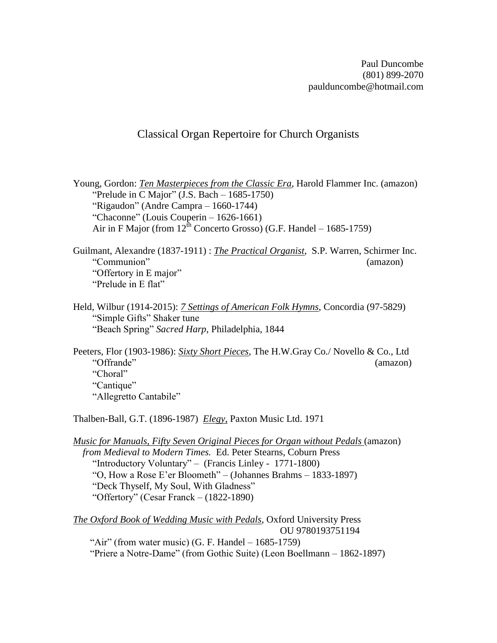Paul Duncombe (801) 899-2070 paulduncombe@hotmail.com

## Classical Organ Repertoire for Church Organists

Young, Gordon: *Ten Masterpieces from the Classic Era*, Harold Flammer Inc. (amazon) "Prelude in C Major"  $(J.S. Bach - 1685-1750)$  "Rigaudon" (Andre Campra – 1660-1744) "Chaconne" (Louis Couperin – 1626-1661) Air in F Major (from  $12^{th}$  Concerto Grosso) (G.F. Handel – 1685-1759)

Guilmant, Alexandre (1837-1911) : *The Practical Organist*, S.P. Warren, Schirmer Inc. "Communion" (amazon) "Offertory in E major" "Prelude in E flat"

Held, Wilbur (1914-2015): *7 Settings of American Folk Hymns*, Concordia (97-5829) "Simple Gifts" Shaker tune "Beach Spring" *Sacred Harp*, Philadelphia, 1844

Peeters, Flor (1903-1986): *Sixty Short Pieces*, The H.W.Gray Co./ Novello & Co., Ltd "Offrande" (amazon) "Choral" "Cantique" "Allegretto Cantabile"

Thalben-Ball, G.T. (1896-1987) *Elegy,* Paxton Music Ltd. 1971

*Music for Manuals*, *Fifty Seven Original Pieces for Organ without Pedals* (amazon)  *from Medieval to Modern Times.* Ed. Peter Stearns, Coburn Press "Introductory Voluntary" – (Francis Linley - 1771-1800) "O, How a Rose E'er Bloometh" – (Johannes Brahms – 1833-1897) "Deck Thyself, My Soul, With Gladness" "Offertory" (Cesar Franck – (1822-1890)

*The Oxford Book of Wedding Music with Pedals*, Oxford University Press OU 9780193751194 "Air" (from water music) (G. F. Handel  $-1685-1759$ ) "Priere a Notre-Dame" (from Gothic Suite) (Leon Boellmann – 1862-1897)